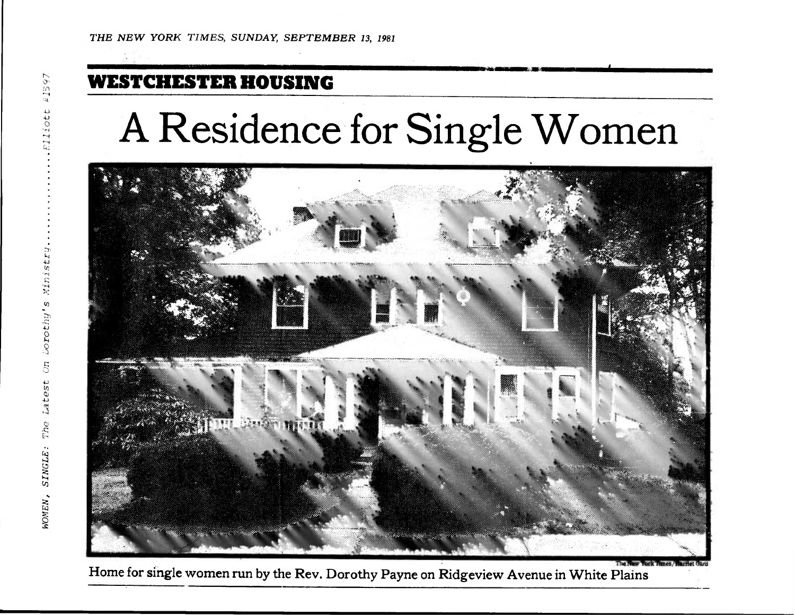## **WESTCHESTER HOUSING**

## **A Residence for Single Women**



**Home for single women run by the Rev. Dorothy Payne on Ridgeview Avenue in White Plains**